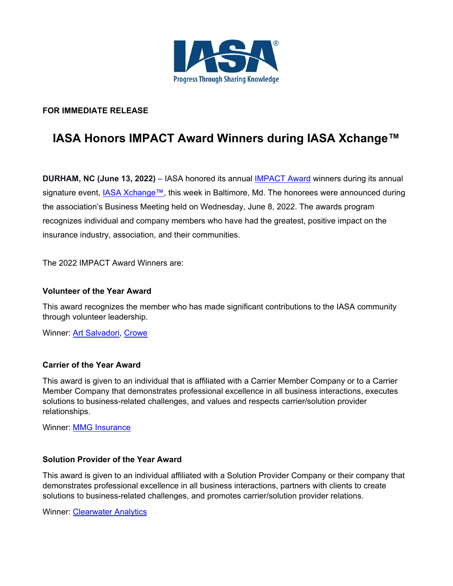

# **FOR IMMEDIATE RELEASE**

# **IASA Honors IMPACT Award Winners during IASA Xchange™**

**DURHAM, NC (June 13, 2022)** – IASA honored its annual IMPACT Award winners during its annual signature event, IASA Xchange™, this week in Baltimore, Md. The honorees were announced during the association's Business Meeting held on Wednesday, June 8, 2022. The awards program recognizes individual and company members who have had the greatest, positive impact on the insurance industry, association, and their communities.

The 2022 IMPACT Award Winners are:

#### **Volunteer of the Year Award**

This award recognizes the member who has made significant contributions to the IASA community through volunteer leadership.

Winner: **Art Salvadori**, Crowe

### **Carrier of the Year Award**

This award is given to an individual that is affiliated with a Carrier Member Company or to a Carrier Member Company that demonstrates professional excellence in all business interactions, executes solutions to business-related challenges, and values and respects carrier/solution provider relationships.

Winner: **MMG Insurance** 

## **Solution Provider of the Year Award**

This award is given to an individual affiliated with a Solution Provider Company or their company that demonstrates professional excellence in all business interactions, partners with clients to create solutions to business-related challenges, and promotes carrier/solution provider relations.

Winner: Clearwater Analytics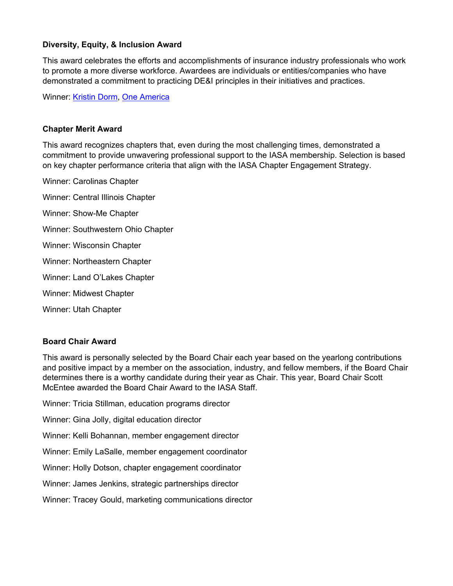## **Diversity, Equity, & Inclusion Award**

This award celebrates the efforts and accomplishments of insurance industry professionals who work to promote a more diverse workforce. Awardees are individuals or entities/companies who have demonstrated a commitment to practicing DE&I principles in their initiatives and practices.

Winner: Kristin Dorm, One America

### **Chapter Merit Award**

This award recognizes chapters that, even during the most challenging times, demonstrated a commitment to provide unwavering professional support to the IASA membership. Selection is based on key chapter performance criteria that align with the IASA Chapter Engagement Strategy.

Winner: Carolinas Chapter Winner: Central Illinois Chapter Winner: Show-Me Chapter Winner: Southwestern Ohio Chapter Winner: Wisconsin Chapter Winner: Northeastern Chapter Winner: Land O'Lakes Chapter Winner: Midwest Chapter Winner: Utah Chapter

## **Board Chair Award**

This award is personally selected by the Board Chair each year based on the yearlong contributions and positive impact by a member on the association, industry, and fellow members, if the Board Chair determines there is a worthy candidate during their year as Chair. This year, Board Chair Scott McEntee awarded the Board Chair Award to the IASA Staff.

Winner: Tricia Stillman, education programs director

Winner: Gina Jolly, digital education director

Winner: Kelli Bohannan, member engagement director

Winner: Emily LaSalle, member engagement coordinator

Winner: Holly Dotson, chapter engagement coordinator

Winner: James Jenkins, strategic partnerships director

Winner: Tracey Gould, marketing communications director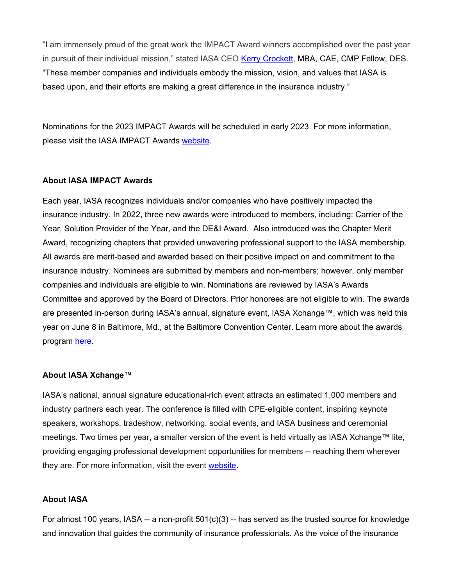"I am immensely proud of the great work the IMPACT Award winners accomplished over the past year in pursuit of their individual mission," stated IASA CEO Kerry Crockett, MBA, CAE, CMP Fellow, DES. "These member companies and individuals embody the mission, vision, and values that IASA is based upon, and their efforts are making a great difference in the insurance industry."

Nominations for the 2023 IMPACT Awards will be scheduled in early 2023. For more information, please visit the IASA IMPACT Awards website.

#### **About IASA IMPACT Awards**

Each year, IASA recognizes individuals and/or companies who have positively impacted the insurance industry. In 2022, three new awards were introduced to members, including: Carrier of the Year, Solution Provider of the Year, and the DE&I Award. Also introduced was the Chapter Merit Award, recognizing chapters that provided unwavering professional support to the IASA membership. All awards are merit-based and awarded based on their positive impact on and commitment to the insurance industry. Nominees are submitted by members and non-members; however, only member companies and individuals are eligible to win. Nominations are reviewed by IASA's Awards Committee and approved by the Board of Directors. Prior honorees are not eligible to win. The awards are presented in-person during IASA's annual, signature event, IASA Xchange™, which was held this year on June 8 in Baltimore, Md., at the Baltimore Convention Center. Learn more about the awards program here.

#### **About IASA Xchange™**

IASA's national, annual signature educational-rich event attracts an estimated 1,000 members and industry partners each year. The conference is filled with CPE-eligible content, inspiring keynote speakers, workshops, tradeshow, networking, social events, and IASA business and ceremonial meetings. Two times per year, a smaller version of the event is held virtually as IASA Xchange™ lite, providing engaging professional development opportunities for members -- reaching them wherever they are. For more information, visit the event website.

#### **About IASA**

For almost 100 years, IASA -- a non-profit  $501(c)(3)$  -- has served as the trusted source for knowledge and innovation that guides the community of insurance professionals. As the voice of the insurance